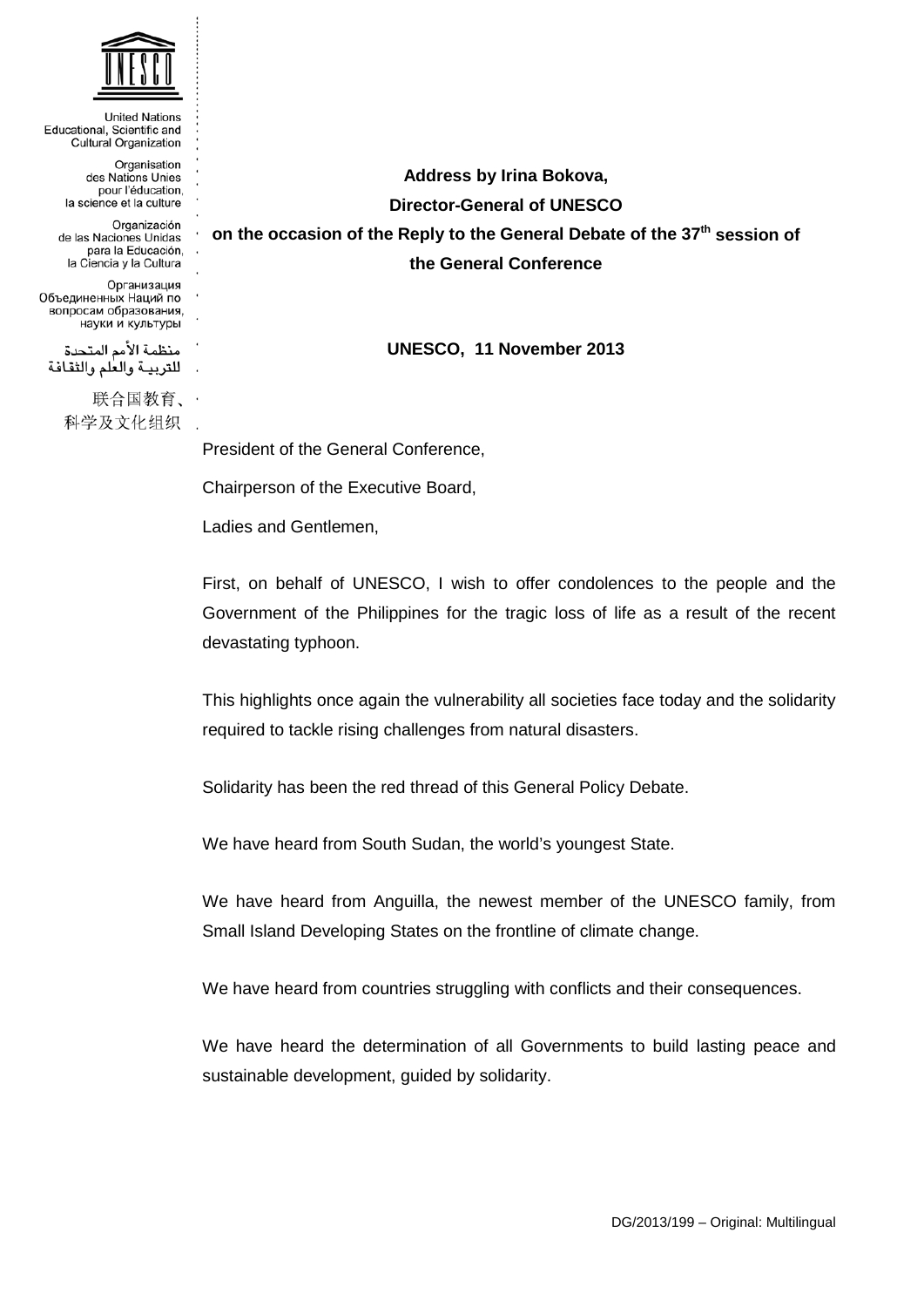

**United Nations** Educational, Scientific and Cultural Organization Organisation des Nations Unies pour l'éducation, la science et la culture Organización de las Naciones Unidas para la Educación. la Ciencia y la Cultura Организация Объединенных Наций по вопросам образования, науки и культуры منظمة الأمم المتحدة للتربية والعلم والثقافة 联合国教育、· 科学及文化组织 .

**Address by Irina Bokova, Director-General of UNESCO on the occasion of the Reply to the General Debate of the 37th session of the General Conference**

**UNESCO, 11 November 2013**

President of the General Conference,

Chairperson of the Executive Board,

Ladies and Gentlemen,

First, on behalf of UNESCO, I wish to offer condolences to the people and the Government of the Philippines for the tragic loss of life as a result of the recent devastating typhoon.

This highlights once again the vulnerability all societies face today and the solidarity required to tackle rising challenges from natural disasters.

Solidarity has been the red thread of this General Policy Debate.

We have heard from South Sudan, the world's youngest State.

We have heard from Anguilla, the newest member of the UNESCO family, from Small Island Developing States on the frontline of climate change.

We have heard from countries struggling with conflicts and their consequences.

We have heard the determination of all Governments to build lasting peace and sustainable development, guided by solidarity.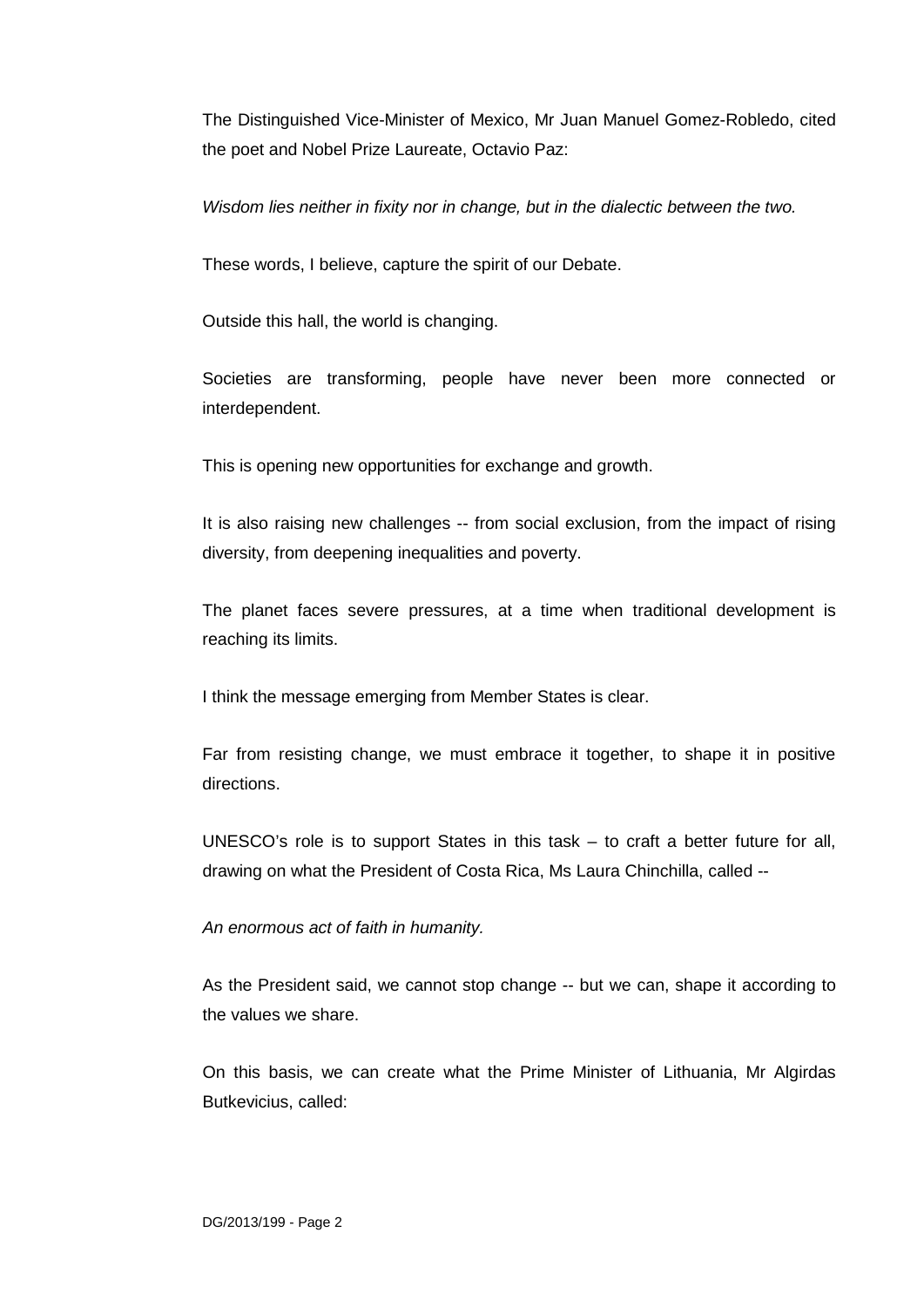The Distinguished Vice-Minister of Mexico, Mr Juan Manuel Gomez-Robledo, cited the poet and Nobel Prize Laureate, Octavio Paz:

*Wisdom lies neither in fixity nor in change, but in the dialectic between the two.*

These words, I believe, capture the spirit of our Debate.

Outside this hall, the world is changing.

Societies are transforming, people have never been more connected or interdependent.

This is opening new opportunities for exchange and growth.

It is also raising new challenges -- from social exclusion, from the impact of rising diversity, from deepening inequalities and poverty.

The planet faces severe pressures, at a time when traditional development is reaching its limits.

I think the message emerging from Member States is clear.

Far from resisting change, we must embrace it together, to shape it in positive directions.

UNESCO's role is to support States in this task – to craft a better future for all, drawing on what the President of Costa Rica, Ms Laura Chinchilla, called --

*An enormous act of faith in humanity.*

As the President said, we cannot stop change -- but we can, shape it according to the values we share.

On this basis, we can create what the Prime Minister of Lithuania, Mr Algirdas Butkevicius, called: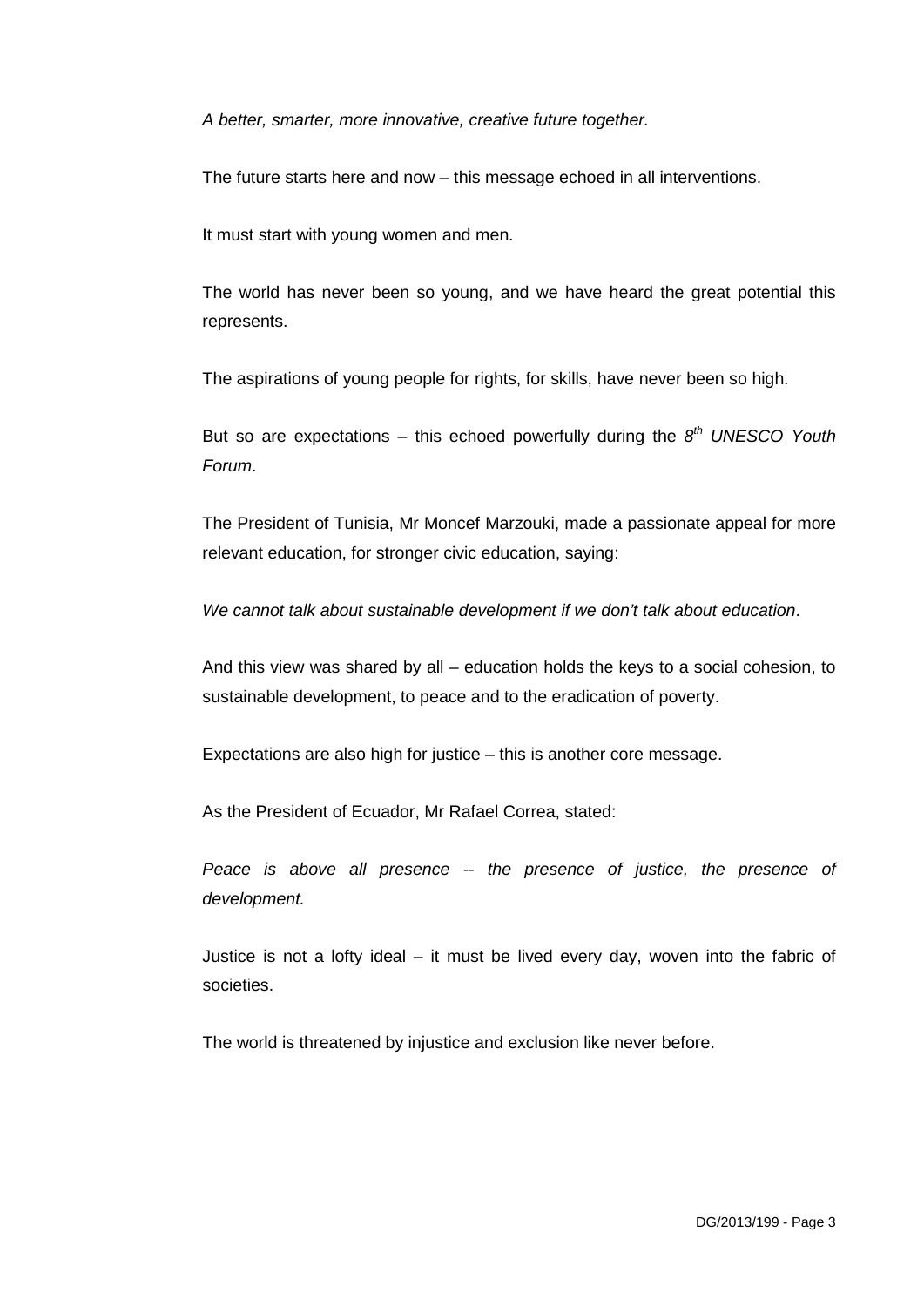*A better, smarter, more innovative, creative future together.*

The future starts here and now – this message echoed in all interventions.

It must start with young women and men.

The world has never been so young, and we have heard the great potential this represents.

The aspirations of young people for rights, for skills, have never been so high.

But so are expectations – this echoed powerfully during the *8th UNESCO Youth Forum*.

The President of Tunisia, Mr Moncef Marzouki, made a passionate appeal for more relevant education, for stronger civic education, saying:

*We cannot talk about sustainable development if we don't talk about education*.

And this view was shared by all – education holds the keys to a social cohesion, to sustainable development, to peace and to the eradication of poverty.

Expectations are also high for justice – this is another core message.

As the President of Ecuador, Mr Rafael Correa, stated:

*Peace is above all presence -- the presence of justice, the presence of development.*

Justice is not a lofty ideal – it must be lived every day, woven into the fabric of societies.

The world is threatened by injustice and exclusion like never before.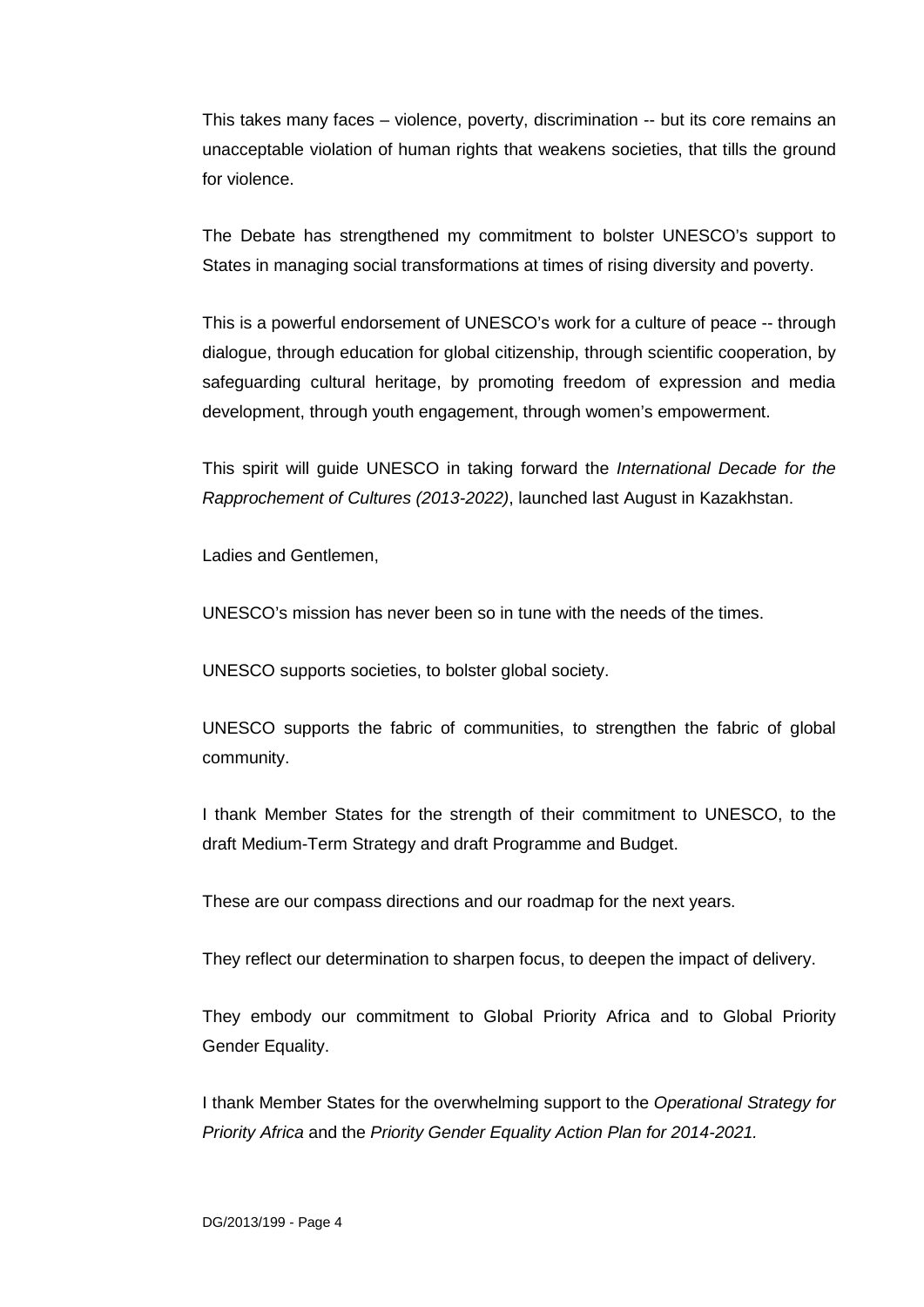This takes many faces – violence, poverty, discrimination -- but its core remains an unacceptable violation of human rights that weakens societies, that tills the ground for violence.

The Debate has strengthened my commitment to bolster UNESCO's support to States in managing social transformations at times of rising diversity and poverty.

This is a powerful endorsement of UNESCO's work for a culture of peace -- through dialogue, through education for global citizenship, through scientific cooperation, by safeguarding cultural heritage, by promoting freedom of expression and media development, through youth engagement, through women's empowerment.

This spirit will guide UNESCO in taking forward the *International Decade for the Rapprochement of Cultures (2013-2022)*, launched last August in Kazakhstan.

Ladies and Gentlemen,

UNESCO's mission has never been so in tune with the needs of the times.

UNESCO supports societies, to bolster global society.

UNESCO supports the fabric of communities, to strengthen the fabric of global community.

I thank Member States for the strength of their commitment to UNESCO, to the draft Medium-Term Strategy and draft Programme and Budget.

These are our compass directions and our roadmap for the next years.

They reflect our determination to sharpen focus, to deepen the impact of delivery.

They embody our commitment to Global Priority Africa and to Global Priority Gender Equality.

I thank Member States for the overwhelming support to the *Operational Strategy for Priority Africa* and the *Priority Gender Equality Action Plan for 2014-2021.*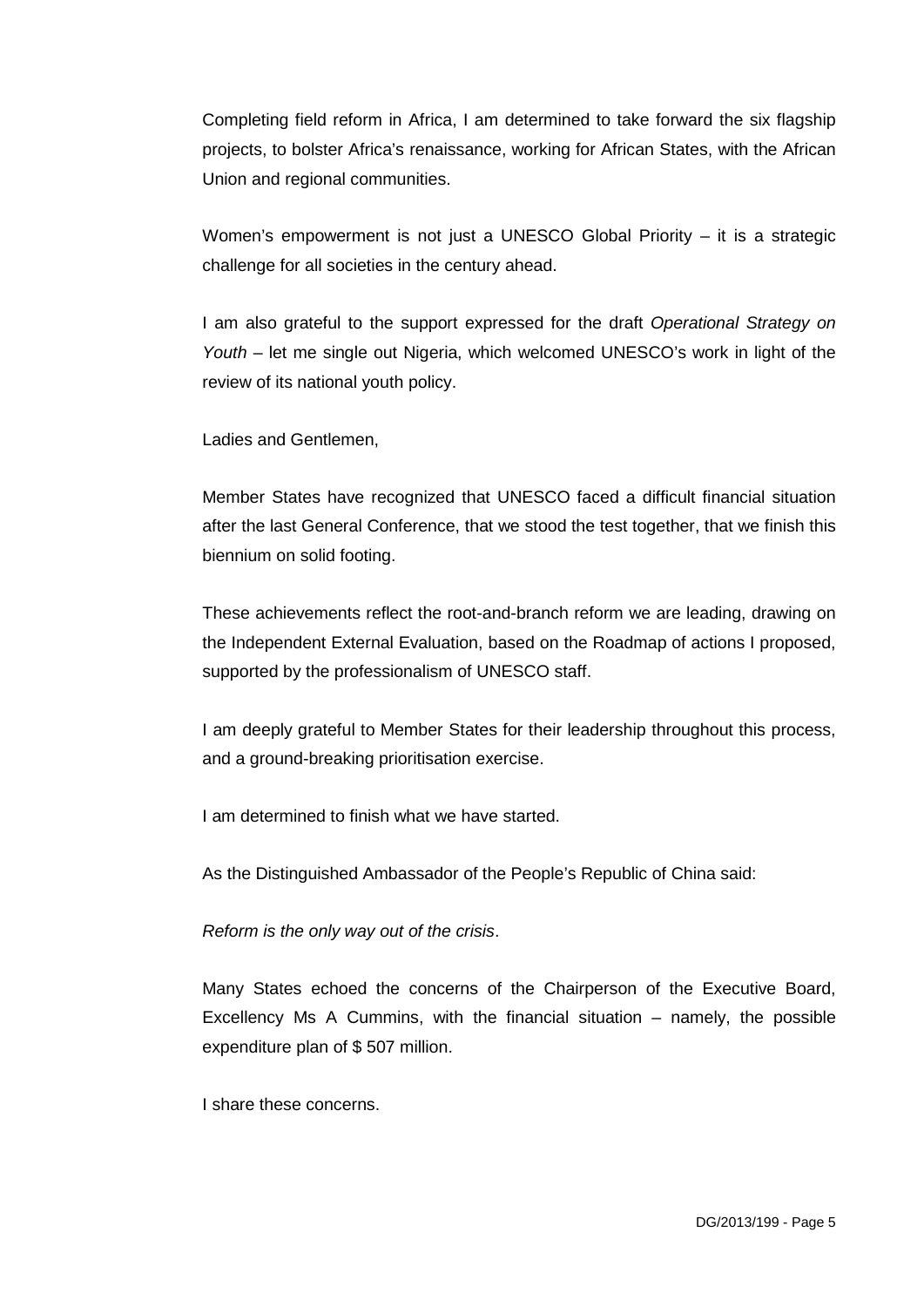Completing field reform in Africa, I am determined to take forward the six flagship projects, to bolster Africa's renaissance, working for African States, with the African Union and regional communities.

Women's empowerment is not just a UNESCO Global Priority – it is a strategic challenge for all societies in the century ahead.

I am also grateful to the support expressed for the draft *Operational Strategy on Youth* – let me single out Nigeria, which welcomed UNESCO's work in light of the review of its national youth policy.

Ladies and Gentlemen,

Member States have recognized that UNESCO faced a difficult financial situation after the last General Conference, that we stood the test together, that we finish this biennium on solid footing.

These achievements reflect the root-and-branch reform we are leading, drawing on the Independent External Evaluation, based on the Roadmap of actions I proposed, supported by the professionalism of UNESCO staff.

I am deeply grateful to Member States for their leadership throughout this process, and a ground-breaking prioritisation exercise.

I am determined to finish what we have started.

As the Distinguished Ambassador of the People's Republic of China said:

*Reform is the only way out of the crisis*.

Many States echoed the concerns of the Chairperson of the Executive Board, Excellency Ms A Cummins, with the financial situation – namely, the possible expenditure plan of \$ 507 million.

I share these concerns.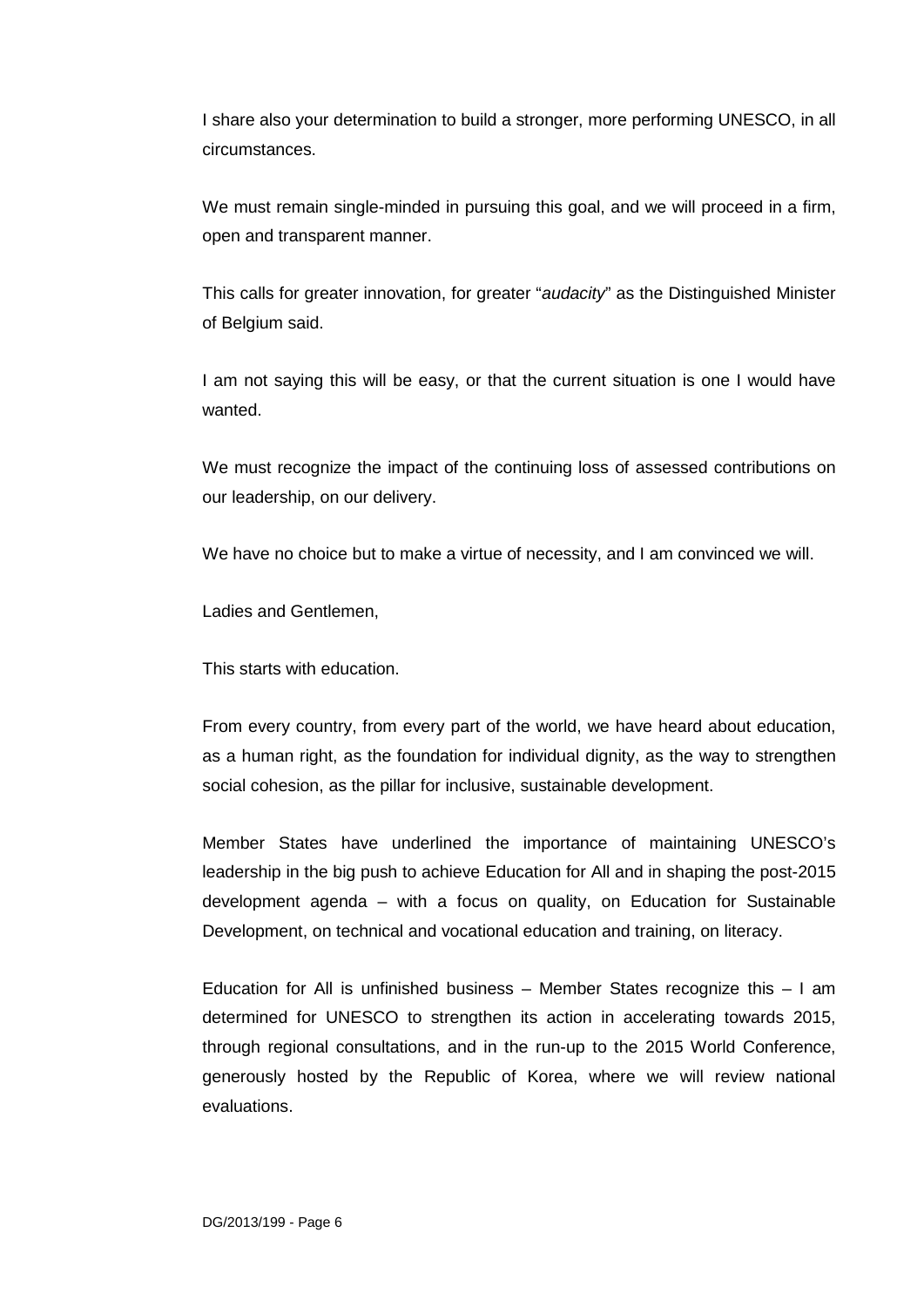I share also your determination to build a stronger, more performing UNESCO, in all circumstances.

We must remain single-minded in pursuing this goal, and we will proceed in a firm, open and transparent manner.

This calls for greater innovation, for greater "*audacity*" as the Distinguished Minister of Belgium said.

I am not saying this will be easy, or that the current situation is one I would have wanted.

We must recognize the impact of the continuing loss of assessed contributions on our leadership, on our delivery.

We have no choice but to make a virtue of necessity, and I am convinced we will.

Ladies and Gentlemen,

This starts with education.

From every country, from every part of the world, we have heard about education, as a human right, as the foundation for individual dignity, as the way to strengthen social cohesion, as the pillar for inclusive, sustainable development.

Member States have underlined the importance of maintaining UNESCO's leadership in the big push to achieve Education for All and in shaping the post-2015 development agenda – with a focus on quality, on Education for Sustainable Development, on technical and vocational education and training, on literacy.

Education for All is unfinished business  $-$  Member States recognize this  $-1$  am determined for UNESCO to strengthen its action in accelerating towards 2015, through regional consultations, and in the run-up to the 2015 World Conference, generously hosted by the Republic of Korea, where we will review national evaluations.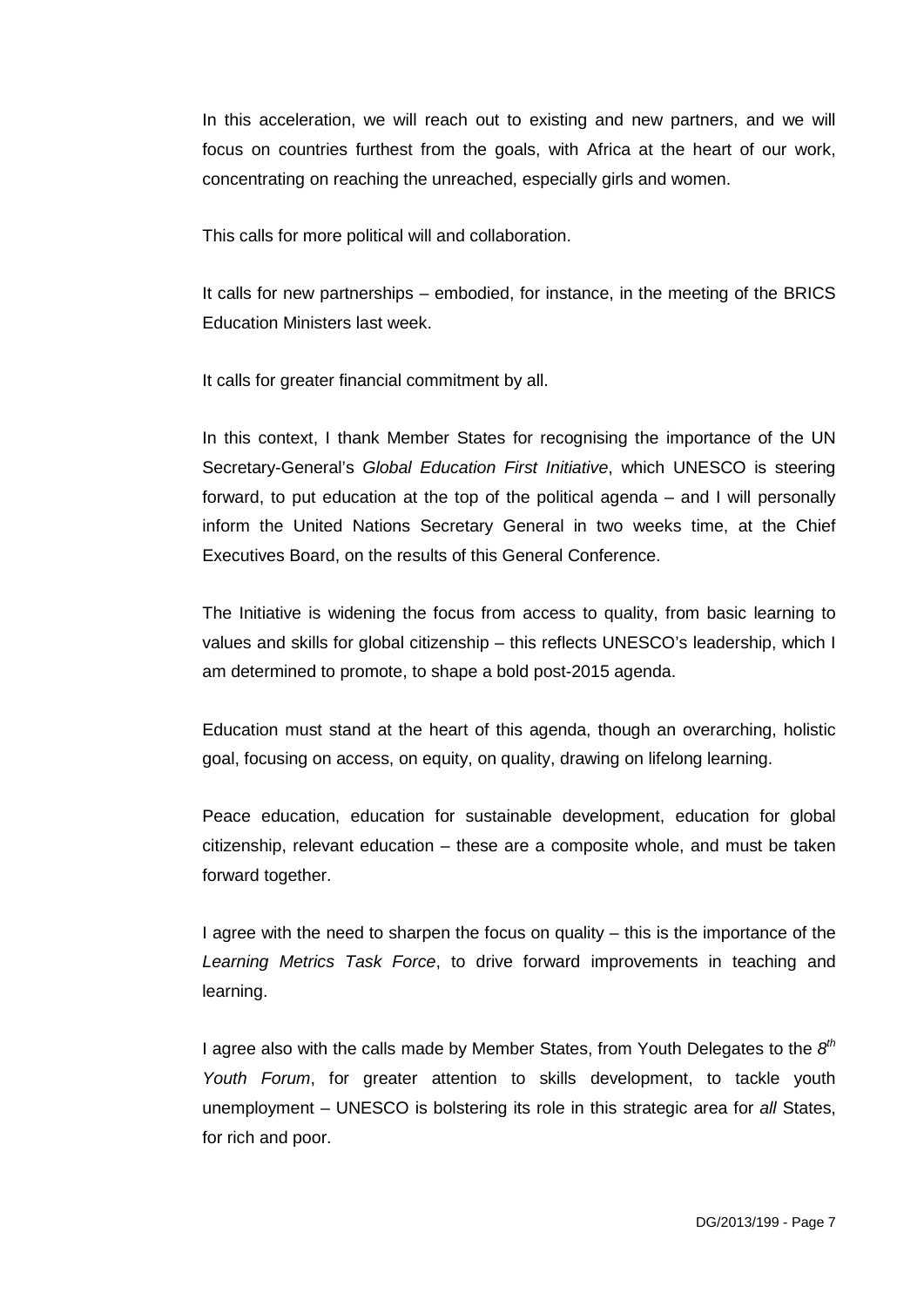In this acceleration, we will reach out to existing and new partners, and we will focus on countries furthest from the goals, with Africa at the heart of our work, concentrating on reaching the unreached, especially girls and women.

This calls for more political will and collaboration.

It calls for new partnerships – embodied, for instance, in the meeting of the BRICS Education Ministers last week.

It calls for greater financial commitment by all.

In this context, I thank Member States for recognising the importance of the UN Secretary-General's *Global Education First Initiative*, which UNESCO is steering forward, to put education at the top of the political agenda – and I will personally inform the United Nations Secretary General in two weeks time, at the Chief Executives Board, on the results of this General Conference.

The Initiative is widening the focus from access to quality, from basic learning to values and skills for global citizenship – this reflects UNESCO's leadership, which I am determined to promote, to shape a bold post-2015 agenda.

Education must stand at the heart of this agenda, though an overarching, holistic goal, focusing on access, on equity, on quality, drawing on lifelong learning.

Peace education, education for sustainable development, education for global citizenship, relevant education – these are a composite whole, and must be taken forward together.

I agree with the need to sharpen the focus on quality – this is the importance of the *Learning Metrics Task Force*, to drive forward improvements in teaching and learning.

I agree also with the calls made by Member States, from Youth Delegates to the *8th Youth Forum*, for greater attention to skills development, to tackle youth unemployment – UNESCO is bolstering its role in this strategic area for *all* States, for rich and poor.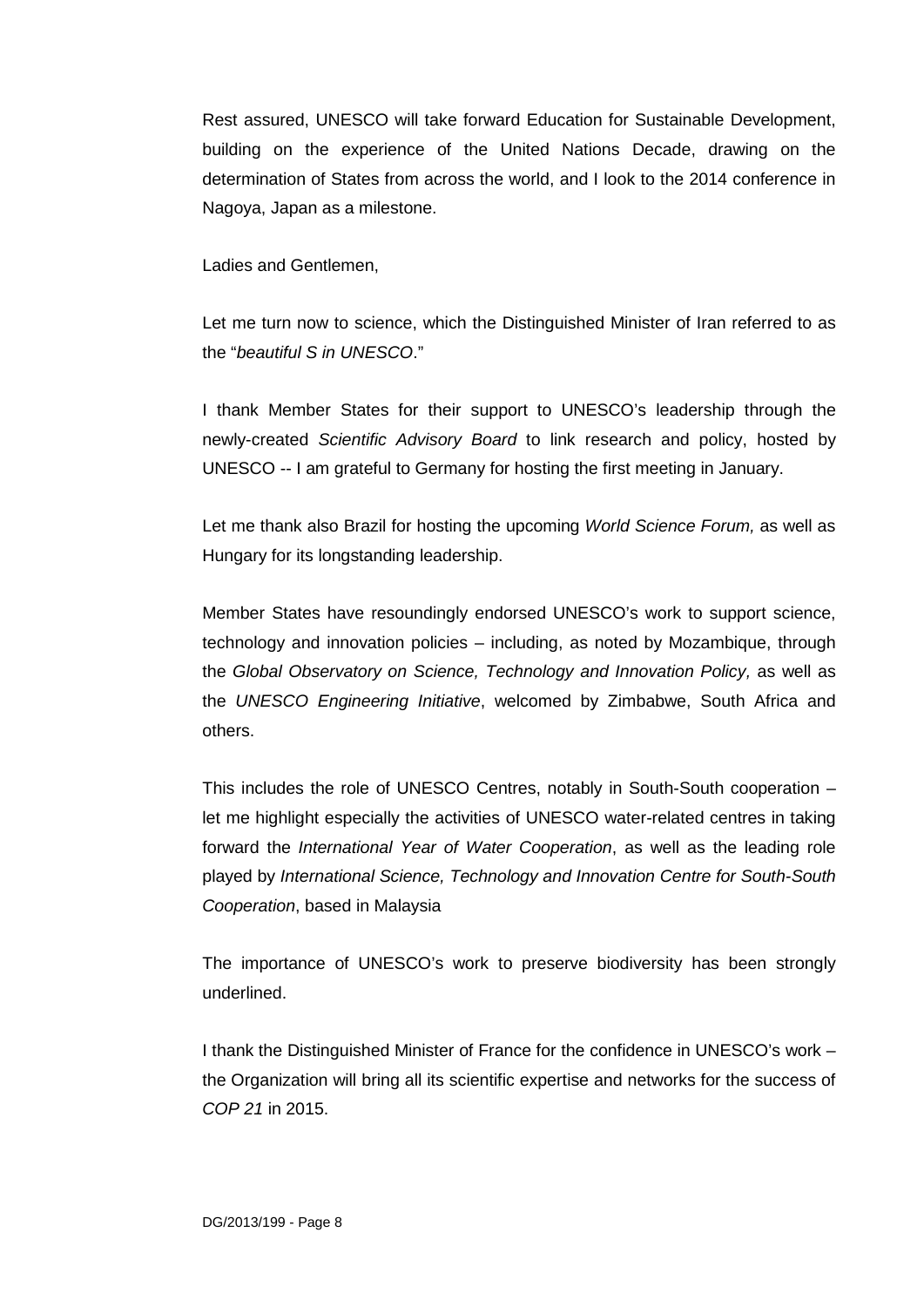Rest assured, UNESCO will take forward Education for Sustainable Development, building on the experience of the United Nations Decade, drawing on the determination of States from across the world, and I look to the 2014 conference in Nagoya, Japan as a milestone.

Ladies and Gentlemen,

Let me turn now to science, which the Distinguished Minister of Iran referred to as the "*beautiful S in UNESCO*."

I thank Member States for their support to UNESCO's leadership through the newly-created *Scientific Advisory Board* to link research and policy, hosted by UNESCO -- I am grateful to Germany for hosting the first meeting in January.

Let me thank also Brazil for hosting the upcoming *World Science Forum,* as well as Hungary for its longstanding leadership.

Member States have resoundingly endorsed UNESCO's work to support science, technology and innovation policies – including, as noted by Mozambique, through the *Global Observatory on Science, Technology and Innovation Policy,* as well as the *UNESCO Engineering Initiative*, welcomed by Zimbabwe, South Africa and others.

This includes the role of UNESCO Centres, notably in South-South cooperation – let me highlight especially the activities of UNESCO water-related centres in taking forward the *International Year of Water Cooperation*, as well as the leading role played by *International Science, Technology and Innovation Centre for South-South Cooperation*, based in Malaysia

The importance of UNESCO's work to preserve biodiversity has been strongly underlined.

I thank the Distinguished Minister of France for the confidence in UNESCO's work – the Organization will bring all its scientific expertise and networks for the success of *COP 21* in 2015.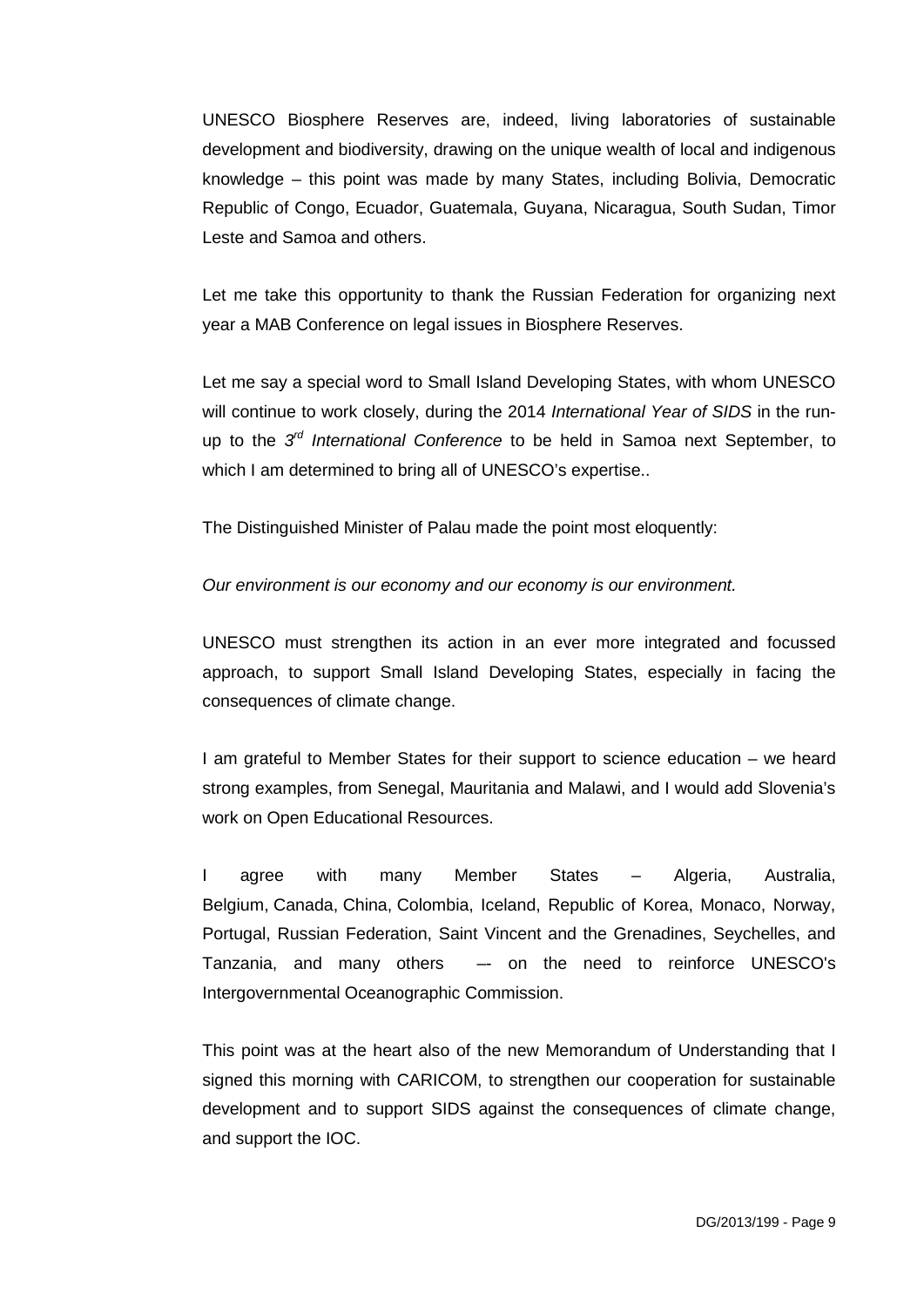UNESCO Biosphere Reserves are, indeed, living laboratories of sustainable development and biodiversity, drawing on the unique wealth of local and indigenous knowledge – this point was made by many States, including Bolivia, Democratic Republic of Congo, Ecuador, Guatemala, Guyana, Nicaragua, South Sudan, Timor Leste and Samoa and others.

Let me take this opportunity to thank the Russian Federation for organizing next year a MAB Conference on legal issues in Biosphere Reserves.

Let me say a special word to Small Island Developing States, with whom UNESCO will continue to work closely, during the 2014 *International Year of SIDS* in the runup to the *3rd International Conference* to be held in Samoa next September, to which I am determined to bring all of UNESCO's expertise..

The Distinguished Minister of Palau made the point most eloquently:

*Our environment is our economy and our economy is our environment.*

UNESCO must strengthen its action in an ever more integrated and focussed approach, to support Small Island Developing States, especially in facing the consequences of climate change.

I am grateful to Member States for their support to science education – we heard strong examples, from Senegal, Mauritania and Malawi, and I would add Slovenia's work on Open Educational Resources.

I agree with many Member States – Algeria, Australia, Belgium, Canada, China, Colombia, Iceland, Republic of Korea, Monaco, Norway, Portugal, Russian Federation, Saint Vincent and the Grenadines, Seychelles, and Tanzania, and many others –- on the need to reinforce UNESCO's Intergovernmental Oceanographic Commission.

This point was at the heart also of the new Memorandum of Understanding that I signed this morning with CARICOM, to strengthen our cooperation for sustainable development and to support SIDS against the consequences of climate change, and support the IOC.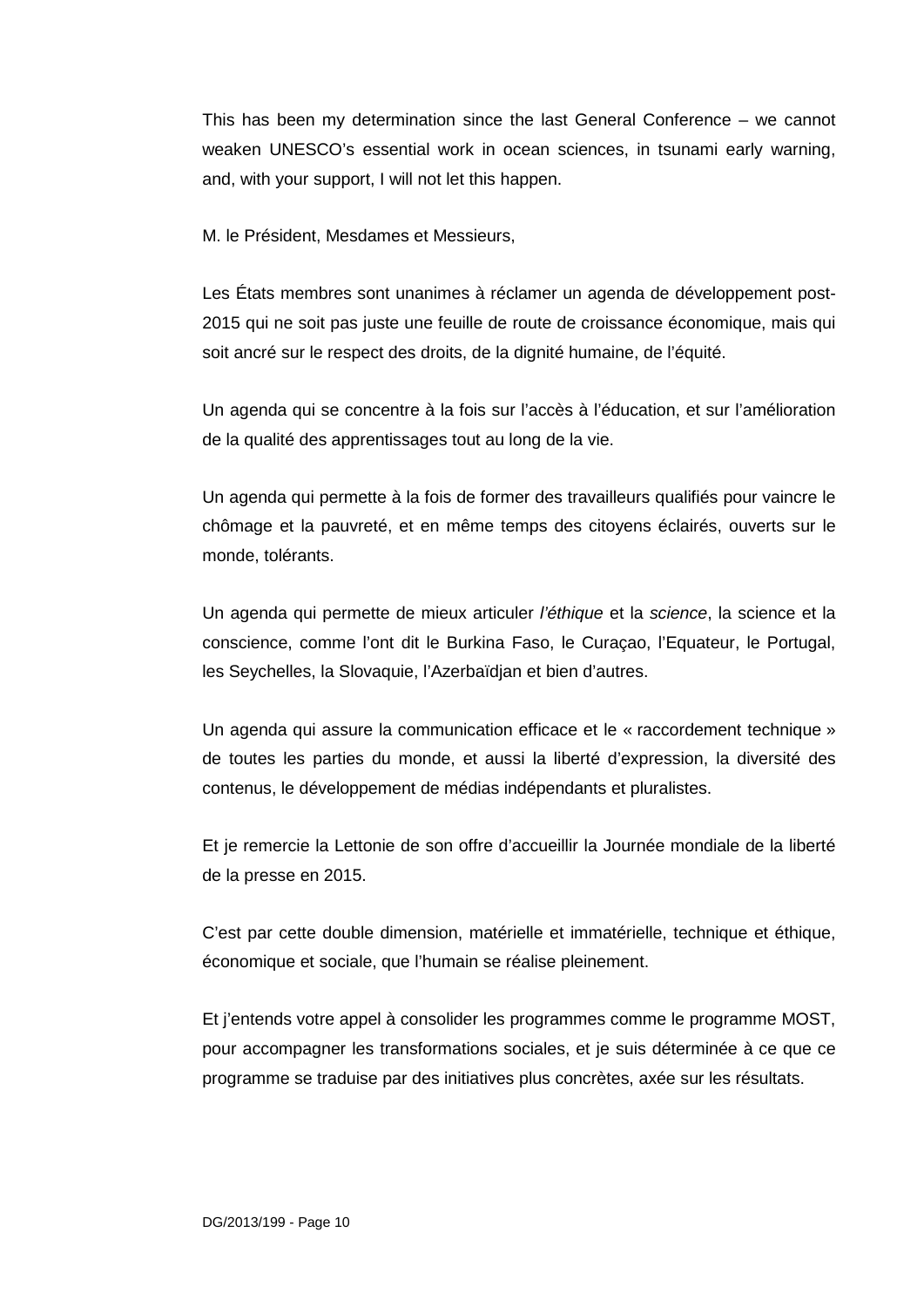This has been my determination since the last General Conference – we cannot weaken UNESCO's essential work in ocean sciences, in tsunami early warning, and, with your support, I will not let this happen.

M. le Président, Mesdames et Messieurs,

Les États membres sont unanimes à réclamer un agenda de développement post-2015 qui ne soit pas juste une feuille de route de croissance économique, mais qui soit ancré sur le respect des droits, de la dignité humaine, de l'équité.

Un agenda qui se concentre à la fois sur l'accès à l'éducation, et sur l'amélioration de la qualité des apprentissages tout au long de la vie.

Un agenda qui permette à la fois de former des travailleurs qualifiés pour vaincre le chômage et la pauvreté, et en même temps des citoyens éclairés, ouverts sur le monde, tolérants.

Un agenda qui permette de mieux articuler *l'éthique* et la *science*, la science et la conscience, comme l'ont dit le Burkina Faso, le Curaçao, l'Equateur, le Portugal, les Seychelles, la Slovaquie, l'Azerbaïdjan et bien d'autres.

Un agenda qui assure la communication efficace et le « raccordement technique » de toutes les parties du monde, et aussi la liberté d'expression, la diversité des contenus, le développement de médias indépendants et pluralistes.

Et je remercie la Lettonie de son offre d'accueillir la Journée mondiale de la liberté de la presse en 2015.

C'est par cette double dimension, matérielle et immatérielle, technique et éthique, économique et sociale, que l'humain se réalise pleinement.

Et j'entends votre appel à consolider les programmes comme le programme MOST, pour accompagner les transformations sociales, et je suis déterminée à ce que ce programme se traduise par des initiatives plus concrètes, axée sur les résultats.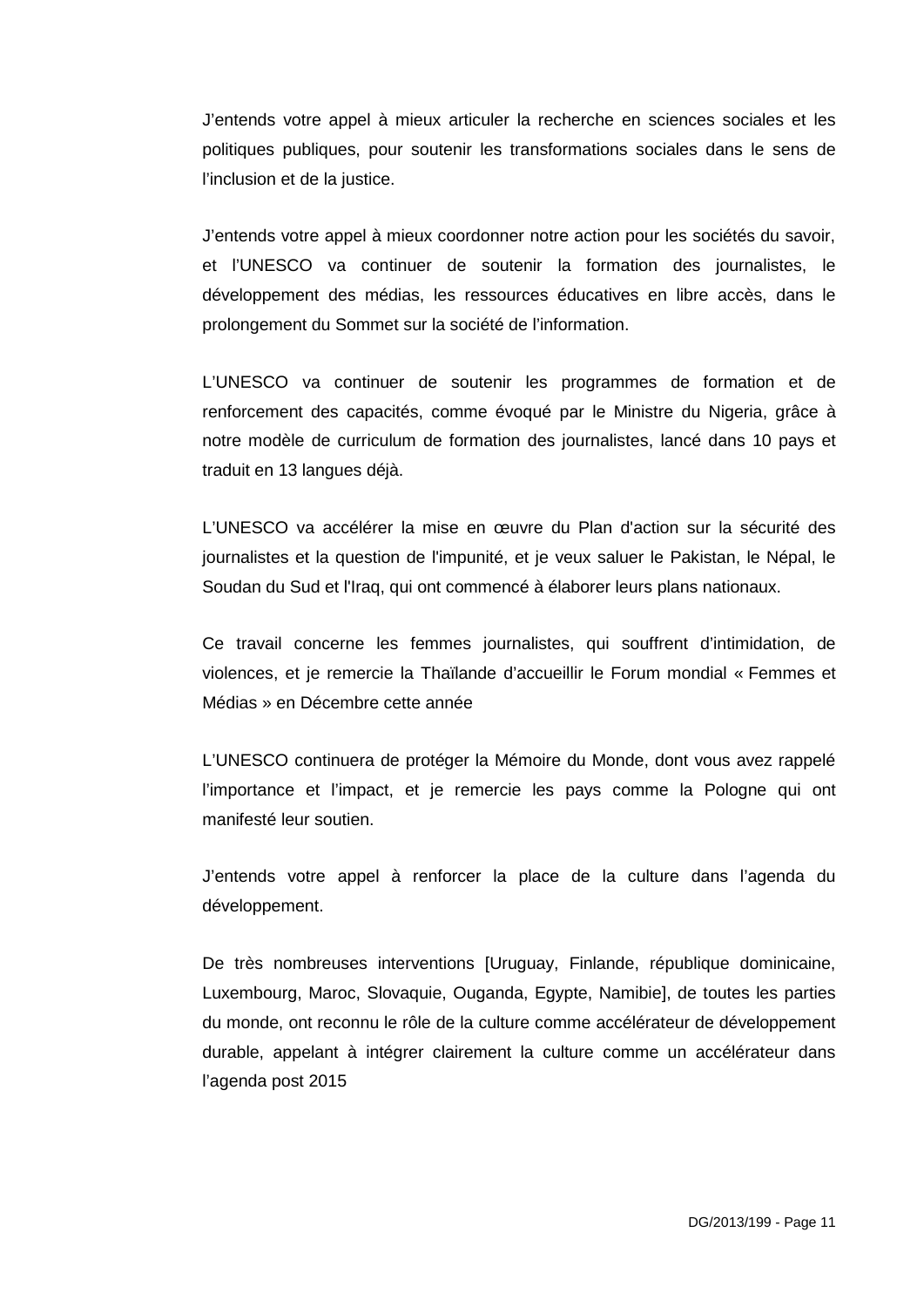J'entends votre appel à mieux articuler la recherche en sciences sociales et les politiques publiques, pour soutenir les transformations sociales dans le sens de l'inclusion et de la justice.

J'entends votre appel à mieux coordonner notre action pour les sociétés du savoir, et l'UNESCO va continuer de soutenir la formation des journalistes, le développement des médias, les ressources éducatives en libre accès, dans le prolongement du Sommet sur la société de l'information.

L'UNESCO va continuer de soutenir les programmes de formation et de renforcement des capacités, comme évoqué par le Ministre du Nigeria, grâce à notre modèle de curriculum de formation des journalistes, lancé dans 10 pays et traduit en 13 langues déjà.

L'UNESCO va accélérer la mise en œuvre du Plan d'action sur la sécurité des journalistes et la question de l'impunité, et je veux saluer le Pakistan, le Népal, le Soudan du Sud et l'Iraq, qui ont commencé à élaborer leurs plans nationaux.

Ce travail concerne les femmes journalistes, qui souffrent d'intimidation, de violences, et je remercie la Thaïlande d'accueillir le Forum mondial « Femmes et Médias » en Décembre cette année

L'UNESCO continuera de protéger la Mémoire du Monde, dont vous avez rappelé l'importance et l'impact, et je remercie les pays comme la Pologne qui ont manifesté leur soutien.

J'entends votre appel à renforcer la place de la culture dans l'agenda du développement.

De très nombreuses interventions [Uruguay, Finlande, république dominicaine, Luxembourg, Maroc, Slovaquie, Ouganda, Egypte, Namibie], de toutes les parties du monde, ont reconnu le rôle de la culture comme accélérateur de développement durable, appelant à intégrer clairement la culture comme un accélérateur dans l'agenda post 2015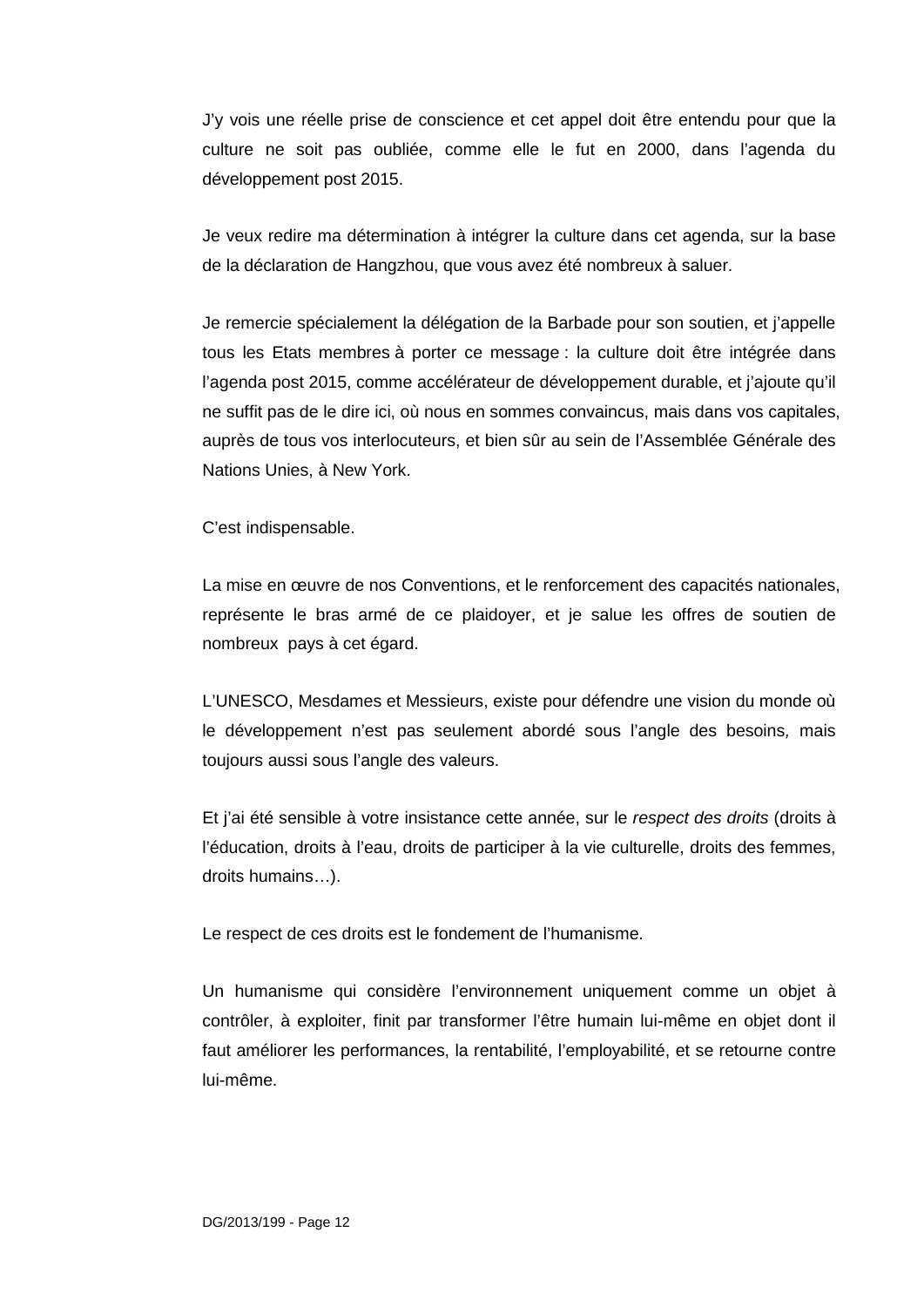J'y vois une réelle prise de conscience et cet appel doit être entendu pour que la culture ne soit pas oubliée, comme elle le fut en 2000, dans l'agenda du développement post 2015.

Je veux redire ma détermination à intégrer la culture dans cet agenda, sur la base de la déclaration de Hangzhou, que vous avez été nombreux à saluer.

Je remercie spécialement la délégation de la Barbade pour son soutien, et j'appelle tous les Etats membres à porter ce message : la culture doit être intégrée dans l'agenda post 2015, comme accélérateur de développement durable, et j'ajoute qu'il ne suffit pas de le dire ici, où nous en sommes convaincus, mais dans vos capitales, auprès de tous vos interlocuteurs, et bien sûr au sein de l'Assemblée Générale des Nations Unies, à New York.

C'est indispensable.

La mise en œuvre de nos Conventions, et le renforcement des capacités nationales, représente le bras armé de ce plaidoyer, et je salue les offres de soutien de nombreux pays à cet égard.

L'UNESCO, Mesdames et Messieurs, existe pour défendre une vision du monde où le développement n'est pas seulement abordé sous l'angle des besoins*,* mais toujours aussi sous l'angle des valeurs.

Et j'ai été sensible à votre insistance cette année, sur le *respect des droits* (droits à l'éducation, droits à l'eau, droits de participer à la vie culturelle, droits des femmes, droits humains…).

Le respect de ces droits est le fondement de l'humanisme.

Un humanisme qui considère l'environnement uniquement comme un objet à contrôler, à exploiter, finit par transformer l'être humain lui-même en objet dont il faut améliorer les performances, la rentabilité, l'employabilité, et se retourne contre lui-même.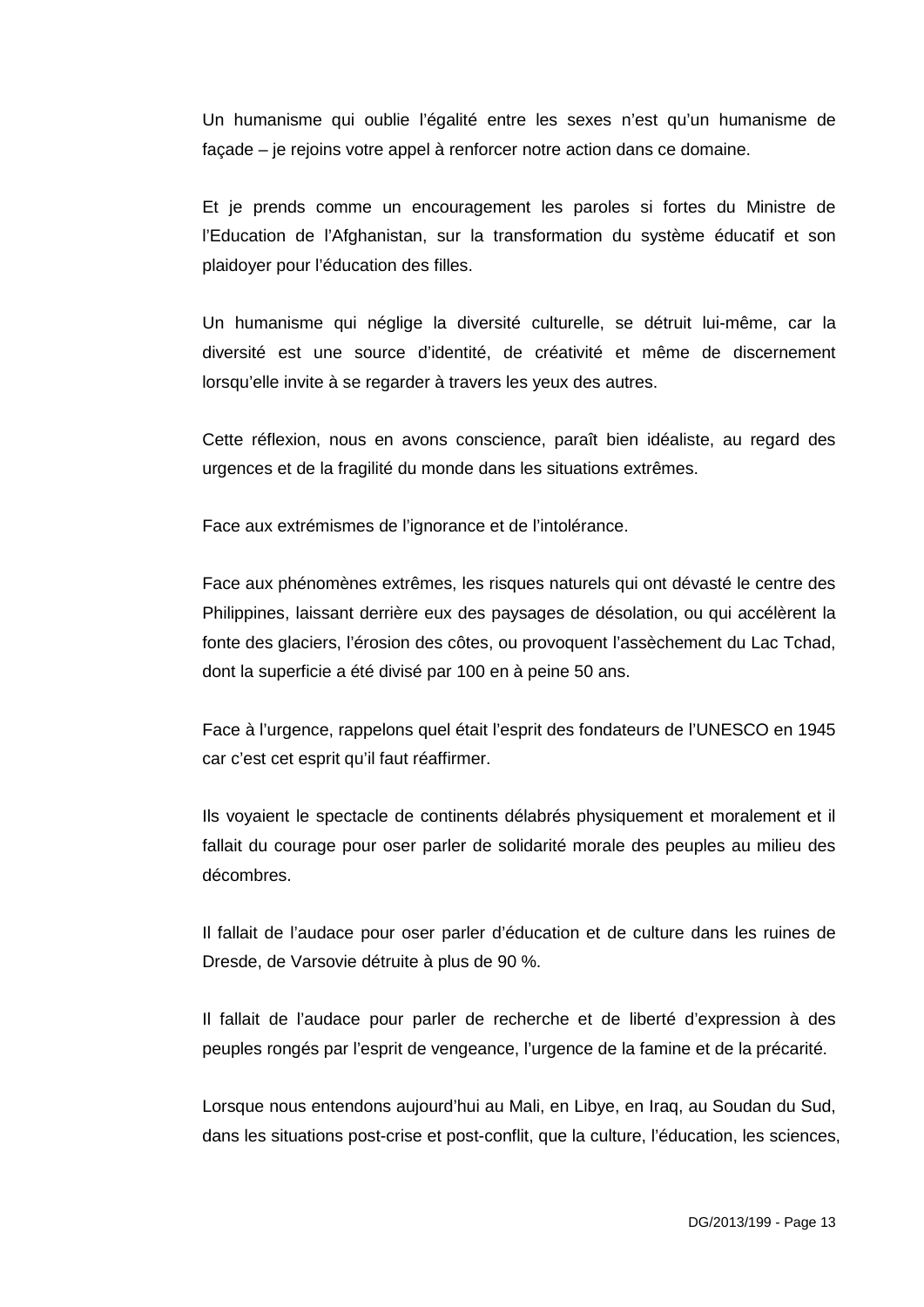Un humanisme qui oublie l'égalité entre les sexes n'est qu'un humanisme de façade – je rejoins votre appel à renforcer notre action dans ce domaine.

Et je prends comme un encouragement les paroles si fortes du Ministre de l'Education de l'Afghanistan, sur la transformation du système éducatif et son plaidoyer pour l'éducation des filles.

Un humanisme qui néglige la diversité culturelle, se détruit lui-même, car la diversité est une source d'identité, de créativité et même de discernement lorsqu'elle invite à se regarder à travers les yeux des autres.

Cette réflexion, nous en avons conscience, paraît bien idéaliste, au regard des urgences et de la fragilité du monde dans les situations extrêmes.

Face aux extrémismes de l'ignorance et de l'intolérance.

Face aux phénomènes extrêmes, les risques naturels qui ont dévasté le centre des Philippines, laissant derrière eux des paysages de désolation, ou qui accélèrent la fonte des glaciers, l'érosion des côtes, ou provoquent l'assèchement du Lac Tchad, dont la superficie a été divisé par 100 en à peine 50 ans.

Face à l'urgence, rappelons quel était l'esprit des fondateurs de l'UNESCO en 1945 car c'est cet esprit qu'il faut réaffirmer.

Ils voyaient le spectacle de continents délabrés physiquement et moralement et il fallait du courage pour oser parler de solidarité morale des peuples au milieu des décombres.

Il fallait de l'audace pour oser parler d'éducation et de culture dans les ruines de Dresde, de Varsovie détruite à plus de 90 %.

Il fallait de l'audace pour parler de recherche et de liberté d'expression à des peuples rongés par l'esprit de vengeance, l'urgence de la famine et de la précarité.

Lorsque nous entendons aujourd'hui au Mali, en Libye, en Iraq, au Soudan du Sud, dans les situations post-crise et post-conflit, que la culture, l'éducation, les sciences,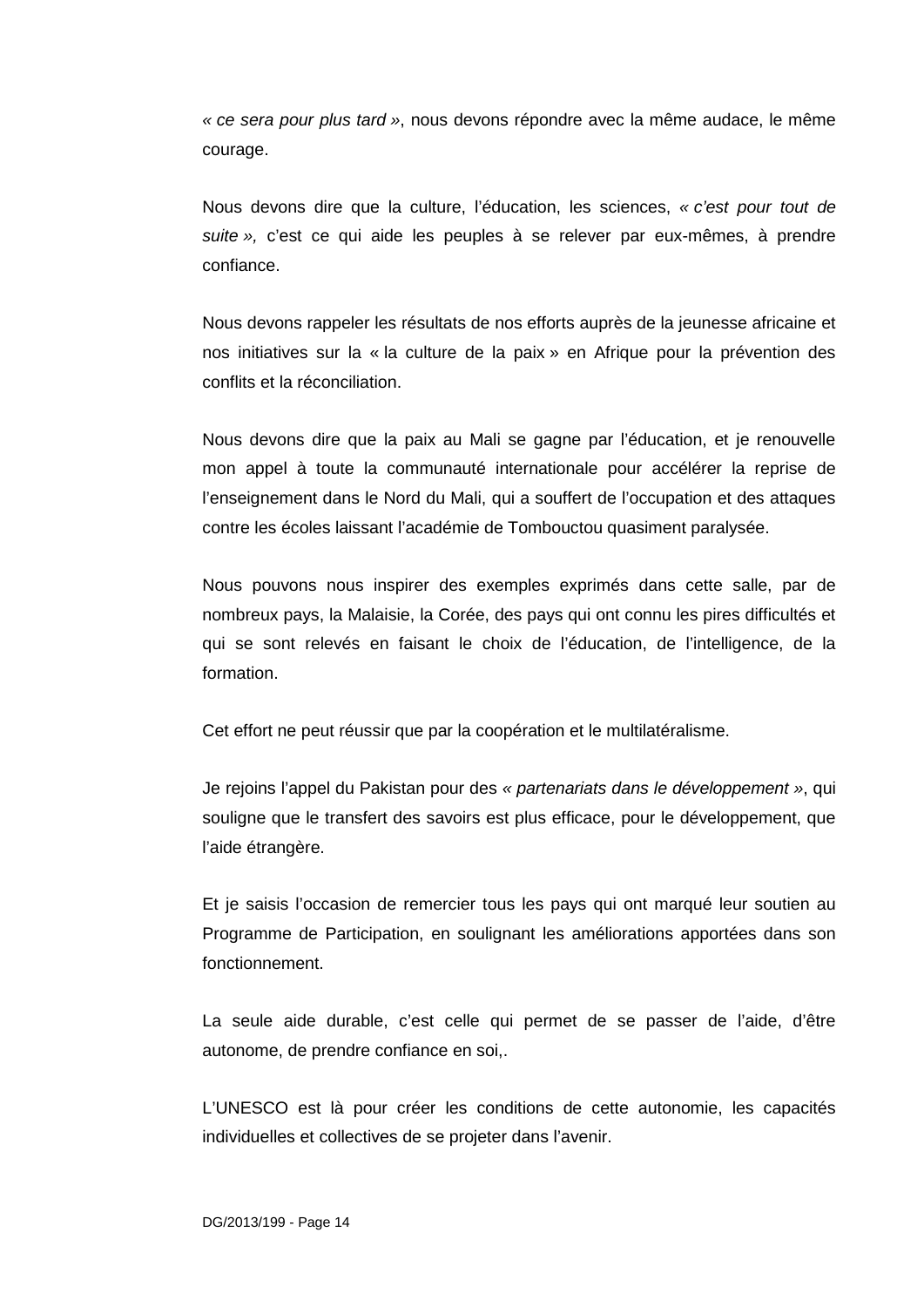*« ce sera pour plus tard »*, nous devons répondre avec la même audace, le même courage.

Nous devons dire que la culture, l'éducation, les sciences, *« c'est pour tout de suite »,* c'est ce qui aide les peuples à se relever par eux-mêmes, à prendre confiance.

Nous devons rappeler les résultats de nos efforts auprès de la jeunesse africaine et nos initiatives sur la « la culture de la paix » en Afrique pour la prévention des conflits et la réconciliation.

Nous devons dire que la paix au Mali se gagne par l'éducation, et je renouvelle mon appel à toute la communauté internationale pour accélérer la reprise de l'enseignement dans le Nord du Mali, qui a souffert de l'occupation et des attaques contre les écoles laissant l'académie de Tombouctou quasiment paralysée.

Nous pouvons nous inspirer des exemples exprimés dans cette salle, par de nombreux pays, la Malaisie, la Corée, des pays qui ont connu les pires difficultés et qui se sont relevés en faisant le choix de l'éducation, de l'intelligence, de la formation.

Cet effort ne peut réussir que par la coopération et le multilatéralisme.

Je rejoins l'appel du Pakistan pour des *« partenariats dans le développement »*, qui souligne que le transfert des savoirs est plus efficace, pour le développement, que l'aide étrangère.

Et je saisis l'occasion de remercier tous les pays qui ont marqué leur soutien au Programme de Participation, en soulignant les améliorations apportées dans son fonctionnement.

La seule aide durable, c'est celle qui permet de se passer de l'aide, d'être autonome, de prendre confiance en soi,.

L'UNESCO est là pour créer les conditions de cette autonomie, les capacités individuelles et collectives de se projeter dans l'avenir.